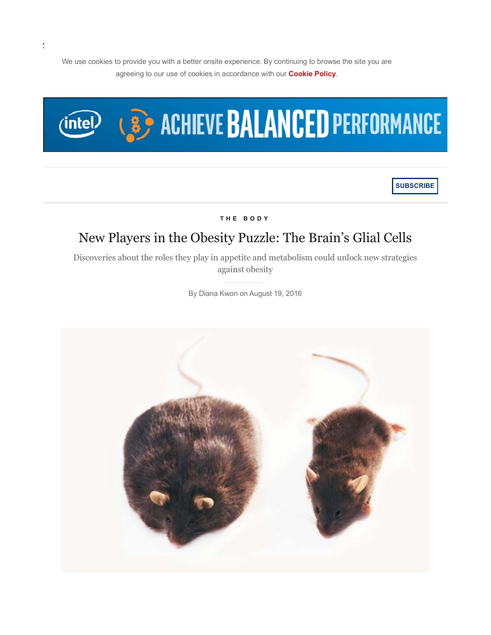We use cookies to provide you with a better onsite experience. By continuing to browse the site you are agreeing to our use of cookies in accordance with our **Cookie Policy**.



**SUBSCRIBE**

**THE BODY** 

# New Players in the Obesity Puzzle: The Brain's Glial Cells

Discoveries about the roles they play in appetite and metabolism could unlock new strategies against obesity

By Diana Kwon on August 19, 2016

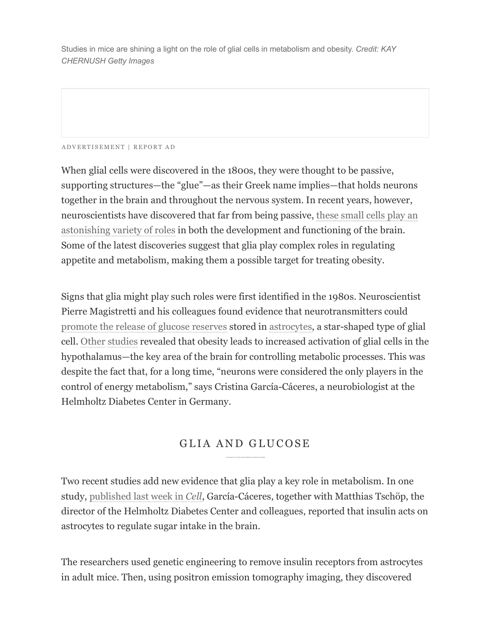Studies in mice are shining a light on the role of glial cells in metabolism and obesity. *Credit: KAY CHERNUSH Getty Images*

#### ADVERTISEMENT | REPORT AD

When glial cells were discovered in the 1800s, they were thought to be passive, supporting structures—the "glue"—as their Greek name implies—that holds neurons together in the brain and throughout the nervous system. In recent years, however, neuroscientists have discovered that far from being passive, these small cells play an astonishing variety of roles in both the development and functioning of the brain. Some of the latest discoveries suggest that glia play complex roles in regulating appetite and metabolism, making them a possible target for treating obesity.

Signs that glia might play such roles were first identified in the 1980s. Neuroscientist Pierre Magistretti and his colleagues found evidence that neurotransmitters could promote the release of glucose reserves stored in astrocytes, a star-shaped type of glial cell. Other studies revealed that obesity leads to increased activation of glial cells in the hypothalamus—the key area of the brain for controlling metabolic processes. This was despite the fact that, for a long time, "neurons were considered the only players in the control of energy metabolism," says Cristina García-Cáceres, a neurobiologist at the Helmholtz Diabetes Center in Germany.

### GLIA AND GLUCOSE

Two recent studies add new evidence that glia play a key role in metabolism. In one study, published last week in *Cell*, García-Cáceres, together with Matthias Tschöp, the director of the Helmholtz Diabetes Center and colleagues, reported that insulin acts on astrocytes to regulate sugar intake in the brain.

The researchers used genetic engineering to remove insulin receptors from astrocytes in adult mice. Then, using positron emission tomography imaging, they discovered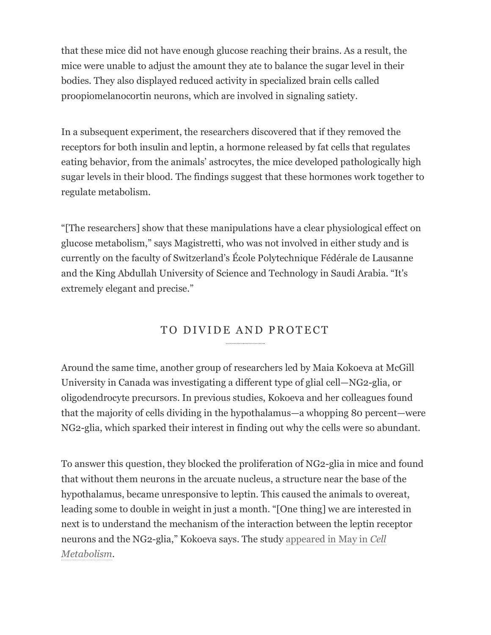that these mice did not have enough glucose reaching their brains. As a result, the mice were unable to adjust the amount they ate to balance the sugar level in their bodies. They also displayed reduced activity in specialized brain cells called proopiomelanocortin neurons, which are involved in signaling satiety.

In a subsequent experiment, the researchers discovered that if they removed the receptors for both insulin and leptin, a hormone released by fat cells that regulates eating behavior, from the animals' astrocytes, the mice developed pathologically high sugar levels in their blood. The findings suggest that these hormones work together to regulate metabolism.

"[The researchers] show that these manipulations have a clear physiological effect on glucose metabolism," says Magistretti, who was not involved in either study and is currently on the faculty of Switzerland's École Polytechnique Fédérale de Lausanne and the King Abdullah University of Science and Technology in Saudi Arabia. "It's extremely elegant and precise."

# TO DIVIDE AND PROTECT

Around the same time, another group of researchers led by Maia Kokoeva at McGill University in Canada was investigating a different type of glial cell—NG2-glia, or oligodendrocyte precursors. In previous studies, Kokoeva and her colleagues found that the majority of cells dividing in the hypothalamus—a whopping 80 percent—were NG2-glia, which sparked their interest in finding out why the cells were so abundant.

To answer this question, they blocked the proliferation of NG2-glia in mice and found that without them neurons in the arcuate nucleus, a structure near the base of the hypothalamus, became unresponsive to leptin. This caused the animals to overeat, leading some to double in weight in just a month. "[One thing] we are interested in next is to understand the mechanism of the interaction between the leptin receptor neurons and the NG2-glia," Kokoeva says. The study appeared in May in *Cell Metabolism.*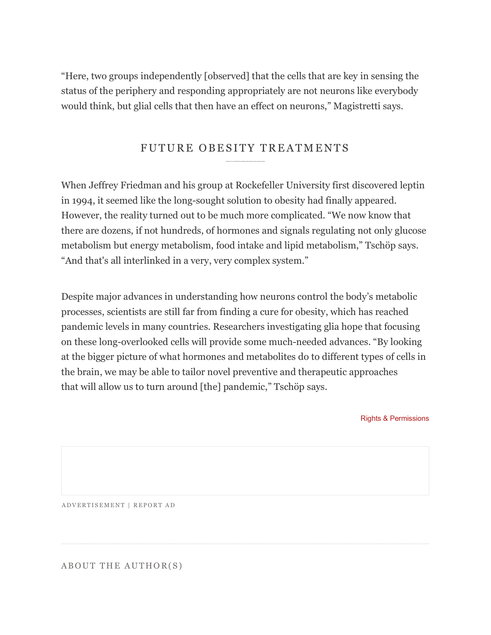"Here, two groups independently [observed] that the cells that are key in sensing the status of the periphery and responding appropriately are not neurons like everybody would think, but glial cells that then have an effect on neurons," Magistretti says.

## FUTURE OBESITY TREATMENTS

When Jeffrey Friedman and his group at Rockefeller University first discovered leptin in 1994, it seemed like the long-sought solution to obesity had finally appeared. However, the reality turned out to be much more complicated. "We now know that there are dozens, if not hundreds, of hormones and signals regulating not only glucose metabolism but energy metabolism, food intake and lipid metabolism," Tschöp says. "And that's all interlinked in a very, very complex system."

Despite major advances in understanding how neurons control the body's metabolic processes, scientists are still far from finding a cure for obesity, which has reached pandemic levels in many countries. Researchers investigating glia hope that focusing on these long-overlooked cells will provide some much-needed advances. "By looking at the bigger picture of what hormones and metabolites do to different types of cells in the brain, we may be able to tailor novel preventive and therapeutic approaches that will allow us to turn around [the] pandemic," Tschöp says.

Rights & Permissions

ADVERTISEMENT | REPORT AD

ABOUT THE AUTHOR(S)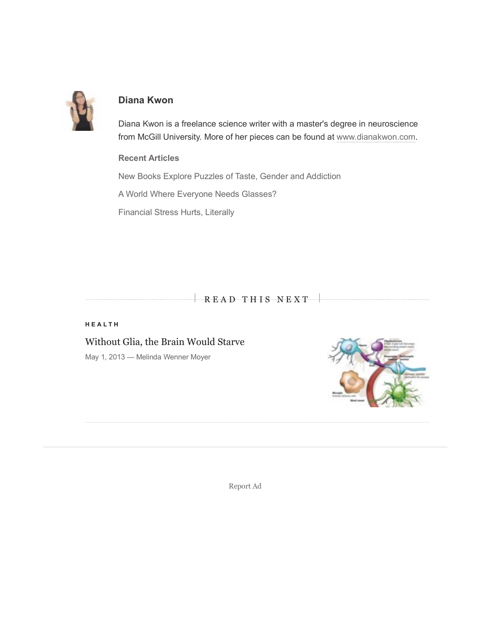

#### **Diana Kwon**

Diana Kwon is a freelance science writer with a master's degree in neuroscience from McGill University. More of her pieces can be found at www.dianakwon.com.

#### **Recent Articles**

New Books Explore Puzzles of Taste, Gender and Addiction

A World Where Everyone Needs Glasses?

Financial Stress Hurts, Literally

READ THIS NEXT

#### **HEALTH**

Without Glia, the Brain Would Starve

May 1, 2013 — Melinda Wenner Moyer



Report Ad